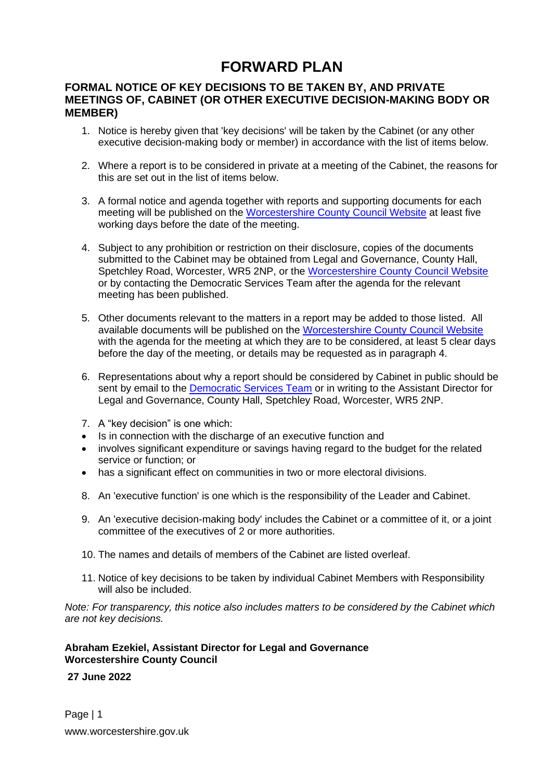#### **FORWARD PLAN**

#### **FORMAL NOTICE OF KEY DECISIONS TO BE TAKEN BY, AND PRIVATE MEETINGS OF, CABINET (OR OTHER EXECUTIVE DECISION-MAKING BODY OR MEMBER)**

- 1. Notice is hereby given that 'key decisions' will be taken by the Cabinet (or any other executive decision-making body or member) in accordance with the list of items below.
- 2. Where a report is to be considered in private at a meeting of the Cabinet, the reasons for this are set out in the list of items below.
- 3. A formal notice and agenda together with reports and supporting documents for each meeting will be published on the [Worcestershire County Council Website](http://www.worcestershire.gov.uk/info/20013/councillors_and_committees) at least five working days before the date of the meeting.
- 4. Subject to any prohibition or restriction on their disclosure, copies of the documents submitted to the Cabinet may be obtained from Legal and Governance, County Hall, Spetchley Road, Worcester, WR5 2NP, or the [Worcestershire County Council Website](http://www.worcestershire.gov.uk/info/20013/councillors_and_committees) or by contacting the Democratic Services Team after the agenda for the relevant meeting has been published.
- 5. Other documents relevant to the matters in a report may be added to those listed. All available documents will be published on the [Worcestershire County Council Website](http://www.worcestershire.gov.uk/info/20013/councillors_and_committees) with the agenda for the meeting at which they are to be considered, at least 5 clear days before the day of the meeting, or details may be requested as in paragraph 4.
- 6. Representations about why a report should be considered by Cabinet in public should be sent by email to the [Democratic Services Team](mailto:democraticservices@worcestershire.gov.uk) or in writing to the Assistant Director for Legal and Governance, County Hall, Spetchley Road, Worcester, WR5 2NP.
- 7. A "key decision" is one which:
- Is in connection with the discharge of an executive function and
- involves significant expenditure or savings having regard to the budget for the related service or function; or
- has a significant effect on communities in two or more electoral divisions.
- 8. An 'executive function' is one which is the responsibility of the Leader and Cabinet.
- 9. An 'executive decision-making body' includes the Cabinet or a committee of it, or a joint committee of the executives of 2 or more authorities.
- 10. The names and details of members of the Cabinet are listed overleaf.
- 11. Notice of key decisions to be taken by individual Cabinet Members with Responsibility will also be included.

*Note: For transparency, this notice also includes matters to be considered by the Cabinet which are not key decisions.*

#### **Abraham Ezekiel, Assistant Director for Legal and Governance Worcestershire County Council**

**27 June 2022**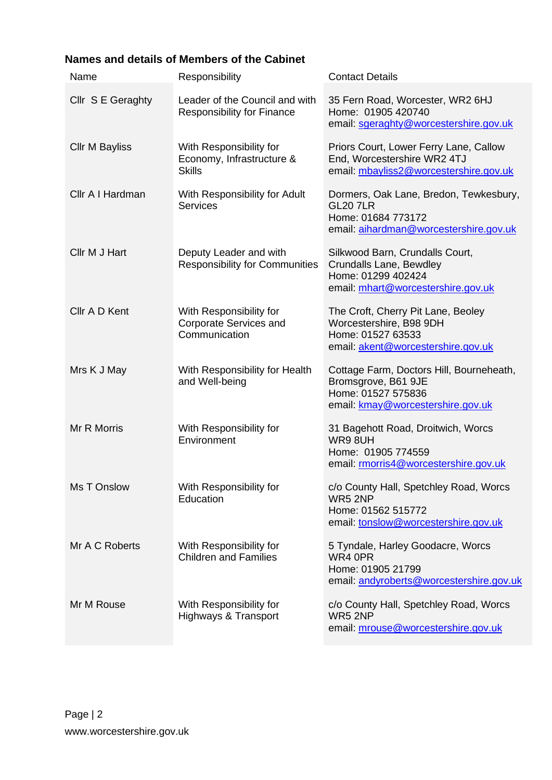#### **Names and details of Members of the Cabinet**

| Name                  | Responsibility                                                            | <b>Contact Details</b>                                                                                                     |
|-----------------------|---------------------------------------------------------------------------|----------------------------------------------------------------------------------------------------------------------------|
| Cllr S E Geraghty     | Leader of the Council and with<br><b>Responsibility for Finance</b>       | 35 Fern Road, Worcester, WR2 6HJ<br>Home: 01905 420740<br>email: sgeraghty@worcestershire.gov.uk                           |
| <b>CIIr M Bayliss</b> | With Responsibility for<br>Economy, Infrastructure &<br><b>Skills</b>     | Priors Court, Lower Ferry Lane, Callow<br>End, Worcestershire WR2 4TJ<br>email: mbayliss2@worcestershire.gov.uk            |
| Cllr A I Hardman      | With Responsibility for Adult<br><b>Services</b>                          | Dormers, Oak Lane, Bredon, Tewkesbury,<br><b>GL20 7LR</b><br>Home: 01684 773172<br>email: aihardman@worcestershire.gov.uk  |
| Cllr M J Hart         | Deputy Leader and with<br><b>Responsibility for Communities</b>           | Silkwood Barn, Crundalls Court,<br>Crundalls Lane, Bewdley<br>Home: 01299 402424<br>email: mhart@worcestershire.gov.uk     |
| Cllr A D Kent         | With Responsibility for<br><b>Corporate Services and</b><br>Communication | The Croft, Cherry Pit Lane, Beoley<br>Worcestershire, B98 9DH<br>Home: 01527 63533<br>email: akent@worcestershire.gov.uk   |
| Mrs K J May           | With Responsibility for Health<br>and Well-being                          | Cottage Farm, Doctors Hill, Bourneheath,<br>Bromsgrove, B61 9JE<br>Home: 01527 575836<br>email: kmay@worcestershire.gov.uk |
| Mr R Morris           | With Responsibility for<br>Environment                                    | 31 Bagehott Road, Droitwich, Worcs<br>WR98UH<br>Home: 01905 774559<br>email: rmorris4@worcestershire.gov.uk                |
| Ms T Onslow           | With Responsibility for<br>Education                                      | c/o County Hall, Spetchley Road, Worcs<br>WR5 2NP<br>Home: 01562 515772<br>email: tonslow@worcestershire.gov.uk            |
| Mr A C Roberts        | With Responsibility for<br><b>Children and Families</b>                   | 5 Tyndale, Harley Goodacre, Worcs<br>WR4 0PR<br>Home: 01905 21799<br>email: andyroberts@worcestershire.gov.uk              |
| Mr M Rouse            | With Responsibility for<br><b>Highways &amp; Transport</b>                | c/o County Hall, Spetchley Road, Worcs<br>WR5 2NP<br>email: mrouse@worcestershire.gov.uk                                   |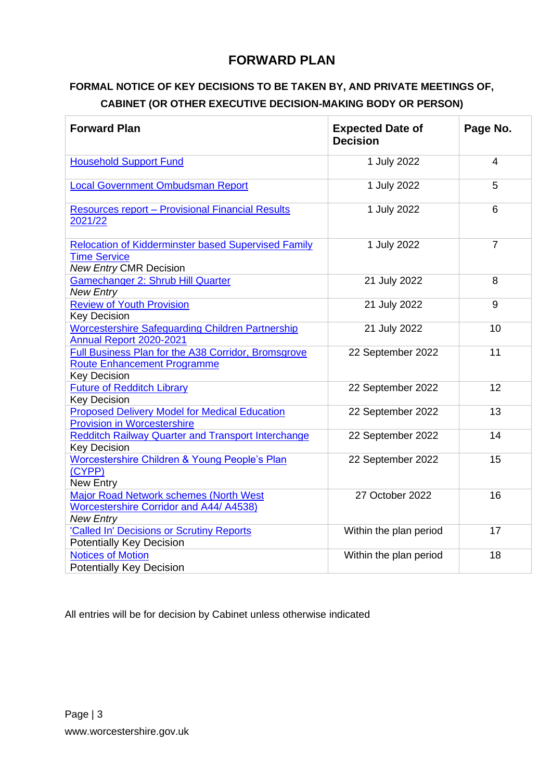#### **FORWARD PLAN**

#### **FORMAL NOTICE OF KEY DECISIONS TO BE TAKEN BY, AND PRIVATE MEETINGS OF, CABINET (OR OTHER EXECUTIVE DECISION-MAKING BODY OR PERSON)**

| <b>Forward Plan</b>                                                                                                | <b>Expected Date of</b><br><b>Decision</b> | Page No.       |
|--------------------------------------------------------------------------------------------------------------------|--------------------------------------------|----------------|
| <b>Household Support Fund</b>                                                                                      | 1 July 2022                                | $\overline{4}$ |
| <b>Local Government Ombudsman Report</b>                                                                           | 1 July 2022                                | 5              |
| <b>Resources report - Provisional Financial Results</b><br>2021/22                                                 | 1 July 2022                                | 6              |
| <b>Relocation of Kidderminster based Supervised Family</b><br><b>Time Service</b><br><b>New Entry CMR Decision</b> | 1 July 2022                                | $\overline{7}$ |
| <b>Gamechanger 2: Shrub Hill Quarter</b><br><b>New Entry</b>                                                       | 21 July 2022                               | 8              |
| <b>Review of Youth Provision</b><br><b>Key Decision</b>                                                            | 21 July 2022                               | 9              |
| <b>Worcestershire Safeguarding Children Partnership</b><br>Annual Report 2020-2021                                 | 21 July 2022                               | 10             |
| Full Business Plan for the A38 Corridor, Bromsgrove<br><b>Route Enhancement Programme</b><br><b>Key Decision</b>   | 22 September 2022                          | 11             |
| <b>Future of Redditch Library</b><br><b>Key Decision</b>                                                           | 22 September 2022                          | 12             |
| <b>Proposed Delivery Model for Medical Education</b><br><b>Provision in Worcestershire</b>                         | 22 September 2022                          | 13             |
| <b>Redditch Railway Quarter and Transport Interchange</b><br><b>Key Decision</b>                                   | 22 September 2022                          | 14             |
| Worcestershire Children & Young People's Plan<br>(CYPP)<br>New Entry                                               | 22 September 2022                          | 15             |
| Major Road Network schemes (North West<br><b>Worcestershire Corridor and A44/ A4538)</b><br><b>New Entry</b>       | 27 October 2022                            | 16             |
| 'Called In' Decisions or Scrutiny Reports<br><b>Potentially Key Decision</b>                                       | Within the plan period                     | 17             |
| <b>Notices of Motion</b><br><b>Potentially Key Decision</b>                                                        | Within the plan period                     | 18             |

All entries will be for decision by Cabinet unless otherwise indicated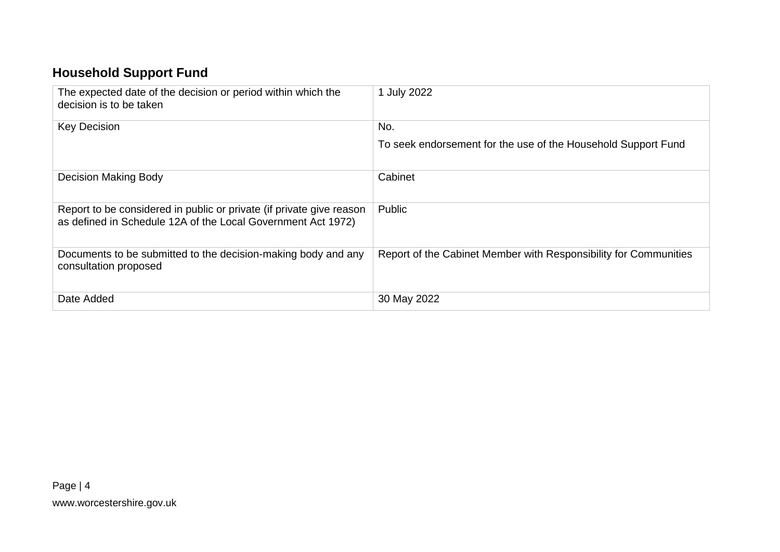# **Household Support Fund**

<span id="page-3-0"></span>

| The expected date of the decision or period within which the<br>decision is to be taken                                              | 1 July 2022                                                      |
|--------------------------------------------------------------------------------------------------------------------------------------|------------------------------------------------------------------|
| <b>Key Decision</b>                                                                                                                  | No.                                                              |
|                                                                                                                                      | To seek endorsement for the use of the Household Support Fund    |
| Decision Making Body                                                                                                                 | Cabinet                                                          |
| Report to be considered in public or private (if private give reason<br>as defined in Schedule 12A of the Local Government Act 1972) | Public                                                           |
| Documents to be submitted to the decision-making body and any<br>consultation proposed                                               | Report of the Cabinet Member with Responsibility for Communities |
| Date Added                                                                                                                           | 30 May 2022                                                      |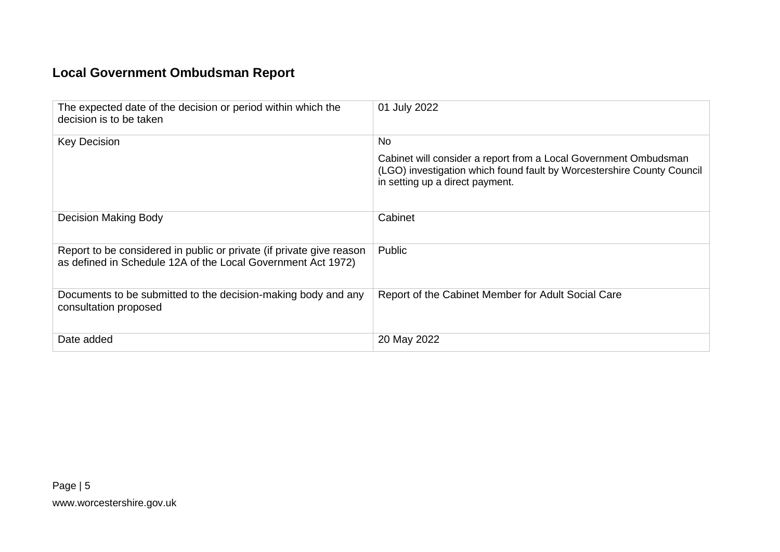## **Local Government Ombudsman Report**

<span id="page-4-0"></span>

| The expected date of the decision or period within which the<br>decision is to be taken                                              | 01 July 2022                                                                                                                                                                  |
|--------------------------------------------------------------------------------------------------------------------------------------|-------------------------------------------------------------------------------------------------------------------------------------------------------------------------------|
| <b>Key Decision</b>                                                                                                                  | No                                                                                                                                                                            |
|                                                                                                                                      | Cabinet will consider a report from a Local Government Ombudsman<br>(LGO) investigation which found fault by Worcestershire County Council<br>in setting up a direct payment. |
| <b>Decision Making Body</b>                                                                                                          | Cabinet                                                                                                                                                                       |
| Report to be considered in public or private (if private give reason<br>as defined in Schedule 12A of the Local Government Act 1972) | Public                                                                                                                                                                        |
| Documents to be submitted to the decision-making body and any<br>consultation proposed                                               | Report of the Cabinet Member for Adult Social Care                                                                                                                            |
| Date added                                                                                                                           | 20 May 2022                                                                                                                                                                   |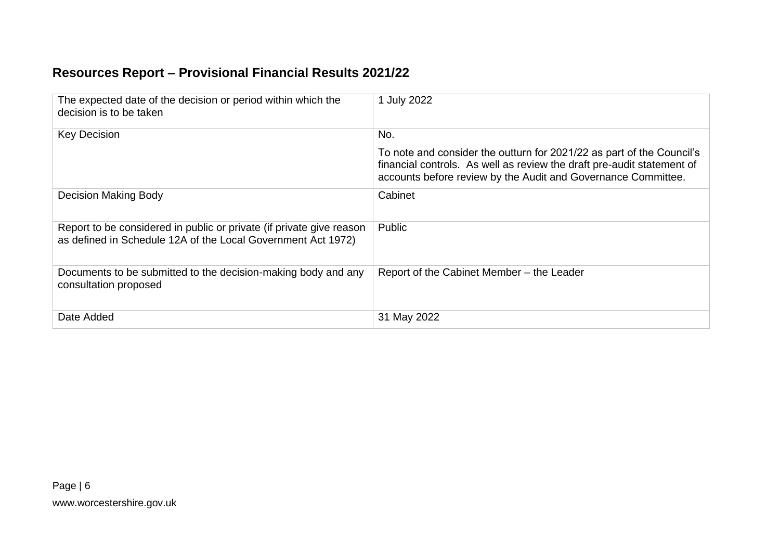### **Resources Report – Provisional Financial Results 2021/22**

<span id="page-5-0"></span>

| The expected date of the decision or period within which the<br>decision is to be taken                                              | 1 July 2022                                                                                                                                                                                                      |
|--------------------------------------------------------------------------------------------------------------------------------------|------------------------------------------------------------------------------------------------------------------------------------------------------------------------------------------------------------------|
| <b>Key Decision</b>                                                                                                                  | No.                                                                                                                                                                                                              |
|                                                                                                                                      | To note and consider the outturn for 2021/22 as part of the Council's<br>financial controls. As well as review the draft pre-audit statement of<br>accounts before review by the Audit and Governance Committee. |
| Decision Making Body                                                                                                                 | Cabinet                                                                                                                                                                                                          |
| Report to be considered in public or private (if private give reason<br>as defined in Schedule 12A of the Local Government Act 1972) | Public                                                                                                                                                                                                           |
| Documents to be submitted to the decision-making body and any<br>consultation proposed                                               | Report of the Cabinet Member - the Leader                                                                                                                                                                        |
| Date Added                                                                                                                           | 31 May 2022                                                                                                                                                                                                      |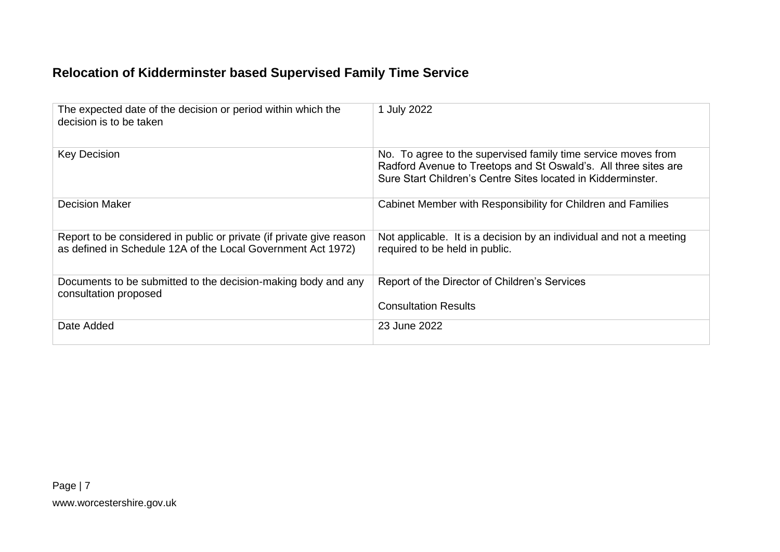### **Relocation of Kidderminster based Supervised Family Time Service**

<span id="page-6-0"></span>

| The expected date of the decision or period within which the<br>decision is to be taken                                              | 1 July 2022                                                                                                                                                                                      |
|--------------------------------------------------------------------------------------------------------------------------------------|--------------------------------------------------------------------------------------------------------------------------------------------------------------------------------------------------|
| <b>Key Decision</b>                                                                                                                  | No. To agree to the supervised family time service moves from<br>Radford Avenue to Treetops and St Oswald's. All three sites are<br>Sure Start Children's Centre Sites located in Kidderminster. |
| <b>Decision Maker</b>                                                                                                                | Cabinet Member with Responsibility for Children and Families                                                                                                                                     |
| Report to be considered in public or private (if private give reason<br>as defined in Schedule 12A of the Local Government Act 1972) | Not applicable. It is a decision by an individual and not a meeting<br>required to be held in public.                                                                                            |
| Documents to be submitted to the decision-making body and any<br>consultation proposed                                               | Report of the Director of Children's Services<br><b>Consultation Results</b>                                                                                                                     |
| Date Added                                                                                                                           | 23 June 2022                                                                                                                                                                                     |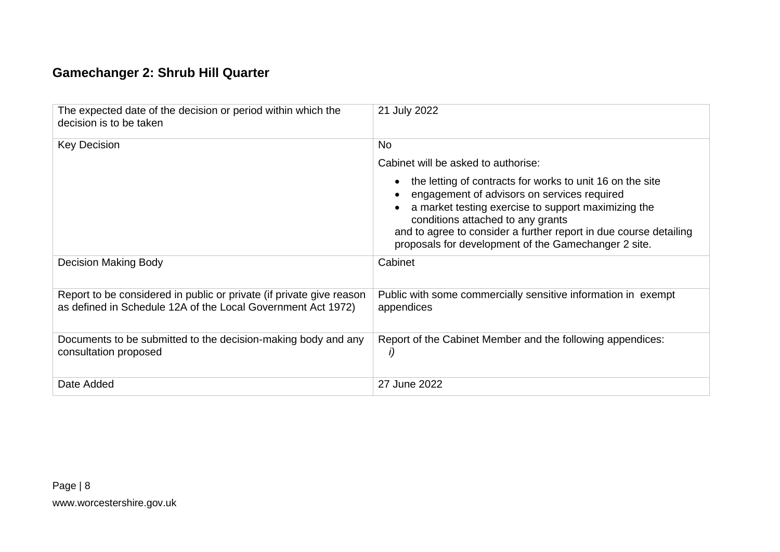### **Gamechanger 2: Shrub Hill Quarter**

<span id="page-7-0"></span>

| The expected date of the decision or period within which the<br>decision is to be taken                                              | 21 July 2022                                                                                                                                                                                                                                                                                                                      |
|--------------------------------------------------------------------------------------------------------------------------------------|-----------------------------------------------------------------------------------------------------------------------------------------------------------------------------------------------------------------------------------------------------------------------------------------------------------------------------------|
| <b>Key Decision</b>                                                                                                                  | <b>No</b>                                                                                                                                                                                                                                                                                                                         |
|                                                                                                                                      | Cabinet will be asked to authorise:                                                                                                                                                                                                                                                                                               |
|                                                                                                                                      | the letting of contracts for works to unit 16 on the site<br>engagement of advisors on services required<br>a market testing exercise to support maximizing the<br>conditions attached to any grants<br>and to agree to consider a further report in due course detailing<br>proposals for development of the Gamechanger 2 site. |
| Decision Making Body                                                                                                                 | Cabinet                                                                                                                                                                                                                                                                                                                           |
| Report to be considered in public or private (if private give reason<br>as defined in Schedule 12A of the Local Government Act 1972) | Public with some commercially sensitive information in exempt<br>appendices                                                                                                                                                                                                                                                       |
| Documents to be submitted to the decision-making body and any<br>consultation proposed                                               | Report of the Cabinet Member and the following appendices:<br>i)                                                                                                                                                                                                                                                                  |
| Date Added                                                                                                                           | 27 June 2022                                                                                                                                                                                                                                                                                                                      |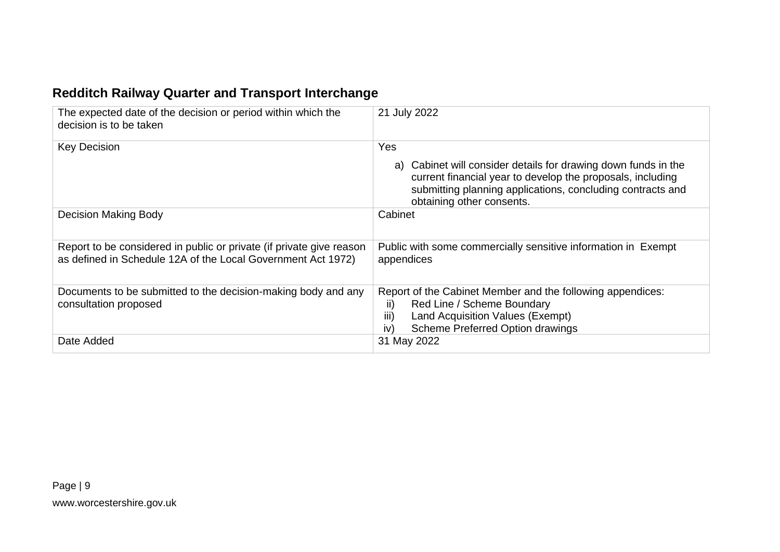### **Redditch Railway Quarter and Transport Interchange**

<span id="page-8-0"></span>

| The expected date of the decision or period within which the<br>decision is to be taken                                              | 21 July 2022                                                                                                                                                                                                                   |
|--------------------------------------------------------------------------------------------------------------------------------------|--------------------------------------------------------------------------------------------------------------------------------------------------------------------------------------------------------------------------------|
| <b>Key Decision</b>                                                                                                                  | Yes<br>a) Cabinet will consider details for drawing down funds in the<br>current financial year to develop the proposals, including<br>submitting planning applications, concluding contracts and<br>obtaining other consents. |
| Decision Making Body                                                                                                                 | Cabinet                                                                                                                                                                                                                        |
| Report to be considered in public or private (if private give reason<br>as defined in Schedule 12A of the Local Government Act 1972) | Public with some commercially sensitive information in Exempt<br>appendices                                                                                                                                                    |
| Documents to be submitted to the decision-making body and any<br>consultation proposed                                               | Report of the Cabinet Member and the following appendices:<br>Red Line / Scheme Boundary<br>ii)<br>iii)<br><b>Land Acquisition Values (Exempt)</b><br>Scheme Preferred Option drawings<br>iv)                                  |
| Date Added                                                                                                                           | 31 May 2022                                                                                                                                                                                                                    |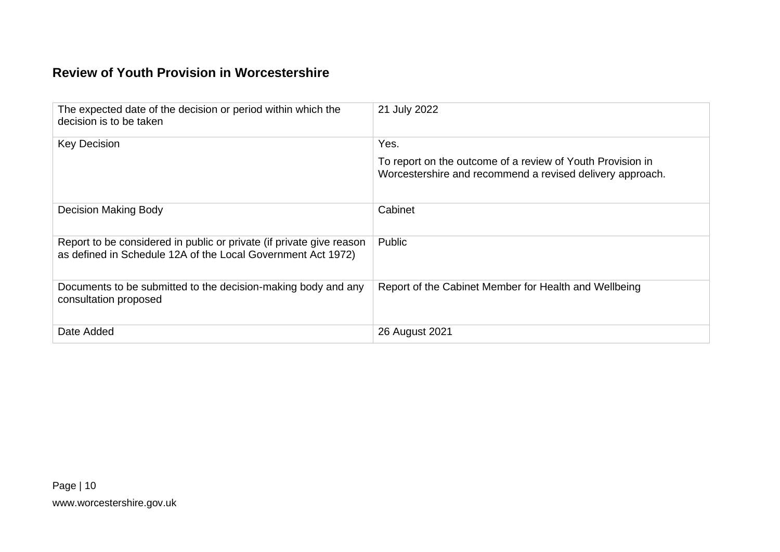#### **Review of Youth Provision in Worcestershire**

<span id="page-9-0"></span>

| The expected date of the decision or period within which the<br>decision is to be taken                                              | 21 July 2022                                                                                                                    |
|--------------------------------------------------------------------------------------------------------------------------------------|---------------------------------------------------------------------------------------------------------------------------------|
| <b>Key Decision</b>                                                                                                                  | Yes.<br>To report on the outcome of a review of Youth Provision in<br>Worcestershire and recommend a revised delivery approach. |
| Decision Making Body                                                                                                                 | Cabinet                                                                                                                         |
| Report to be considered in public or private (if private give reason<br>as defined in Schedule 12A of the Local Government Act 1972) | Public                                                                                                                          |
| Documents to be submitted to the decision-making body and any<br>consultation proposed                                               | Report of the Cabinet Member for Health and Wellbeing                                                                           |
| Date Added                                                                                                                           | 26 August 2021                                                                                                                  |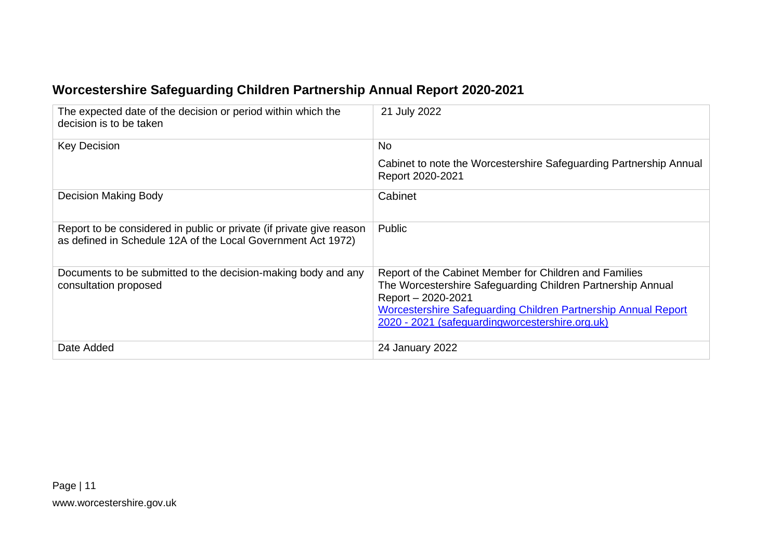### **Worcestershire Safeguarding Children Partnership Annual Report 2020-2021**

<span id="page-10-0"></span>

| The expected date of the decision or period within which the<br>decision is to be taken                                              | 21 July 2022                                                                                                                                                                                                                                                     |
|--------------------------------------------------------------------------------------------------------------------------------------|------------------------------------------------------------------------------------------------------------------------------------------------------------------------------------------------------------------------------------------------------------------|
| <b>Key Decision</b>                                                                                                                  | <b>No</b>                                                                                                                                                                                                                                                        |
|                                                                                                                                      | Cabinet to note the Worcestershire Safeguarding Partnership Annual<br>Report 2020-2021                                                                                                                                                                           |
| <b>Decision Making Body</b>                                                                                                          | Cabinet                                                                                                                                                                                                                                                          |
| Report to be considered in public or private (if private give reason<br>as defined in Schedule 12A of the Local Government Act 1972) | Public                                                                                                                                                                                                                                                           |
| Documents to be submitted to the decision-making body and any<br>consultation proposed                                               | Report of the Cabinet Member for Children and Families<br>The Worcestershire Safeguarding Children Partnership Annual<br>Report - 2020-2021<br>Worcestershire Safeguarding Children Partnership Annual Report<br>2020 - 2021 (safeguardingworcestershire.org.uk) |
| Date Added                                                                                                                           | 24 January 2022                                                                                                                                                                                                                                                  |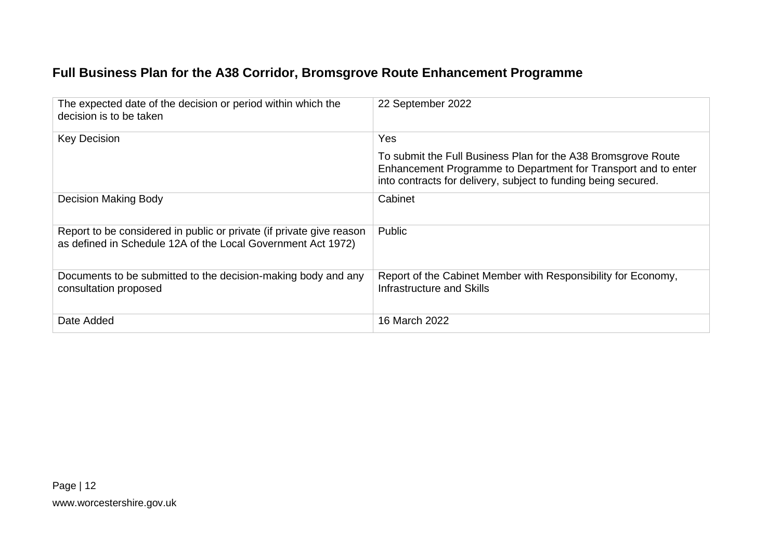### **Full Business Plan for the A38 Corridor, Bromsgrove Route Enhancement Programme**

<span id="page-11-0"></span>

| The expected date of the decision or period within which the<br>decision is to be taken                                              | 22 September 2022                                                                                                                                                                                 |
|--------------------------------------------------------------------------------------------------------------------------------------|---------------------------------------------------------------------------------------------------------------------------------------------------------------------------------------------------|
| <b>Key Decision</b>                                                                                                                  | <b>Yes</b>                                                                                                                                                                                        |
|                                                                                                                                      | To submit the Full Business Plan for the A38 Bromsgrove Route<br>Enhancement Programme to Department for Transport and to enter<br>into contracts for delivery, subject to funding being secured. |
| Decision Making Body                                                                                                                 | Cabinet                                                                                                                                                                                           |
| Report to be considered in public or private (if private give reason<br>as defined in Schedule 12A of the Local Government Act 1972) | Public                                                                                                                                                                                            |
| Documents to be submitted to the decision-making body and any<br>consultation proposed                                               | Report of the Cabinet Member with Responsibility for Economy,<br>Infrastructure and Skills                                                                                                        |
| Date Added                                                                                                                           | 16 March 2022                                                                                                                                                                                     |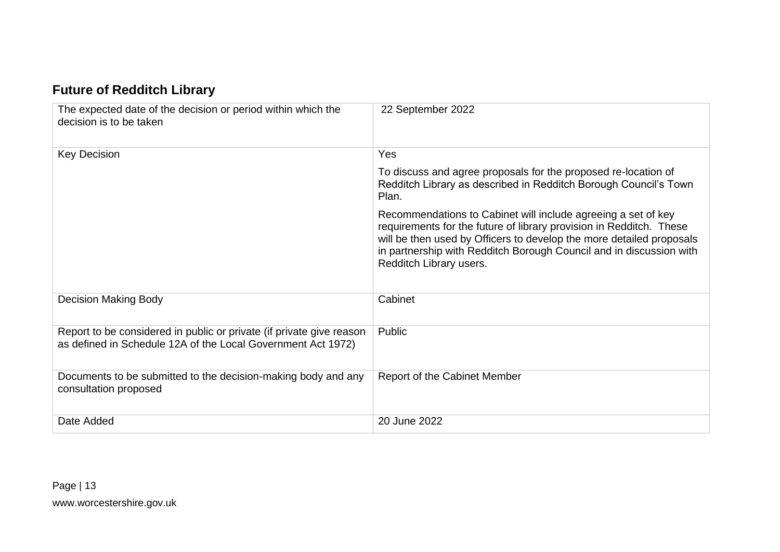### **Future of Redditch Library**

<span id="page-12-0"></span>

| The expected date of the decision or period within which the<br>decision is to be taken                                              | 22 September 2022                                                                                                                                                                                                                                                                                              |
|--------------------------------------------------------------------------------------------------------------------------------------|----------------------------------------------------------------------------------------------------------------------------------------------------------------------------------------------------------------------------------------------------------------------------------------------------------------|
| <b>Key Decision</b>                                                                                                                  | Yes                                                                                                                                                                                                                                                                                                            |
|                                                                                                                                      | To discuss and agree proposals for the proposed re-location of<br>Redditch Library as described in Redditch Borough Council's Town<br>Plan.                                                                                                                                                                    |
|                                                                                                                                      | Recommendations to Cabinet will include agreeing a set of key<br>requirements for the future of library provision in Redditch. These<br>will be then used by Officers to develop the more detailed proposals<br>in partnership with Redditch Borough Council and in discussion with<br>Redditch Library users. |
| <b>Decision Making Body</b>                                                                                                          | Cabinet                                                                                                                                                                                                                                                                                                        |
| Report to be considered in public or private (if private give reason<br>as defined in Schedule 12A of the Local Government Act 1972) | Public                                                                                                                                                                                                                                                                                                         |
| Documents to be submitted to the decision-making body and any<br>consultation proposed                                               | <b>Report of the Cabinet Member</b>                                                                                                                                                                                                                                                                            |
| Date Added                                                                                                                           | 20 June 2022                                                                                                                                                                                                                                                                                                   |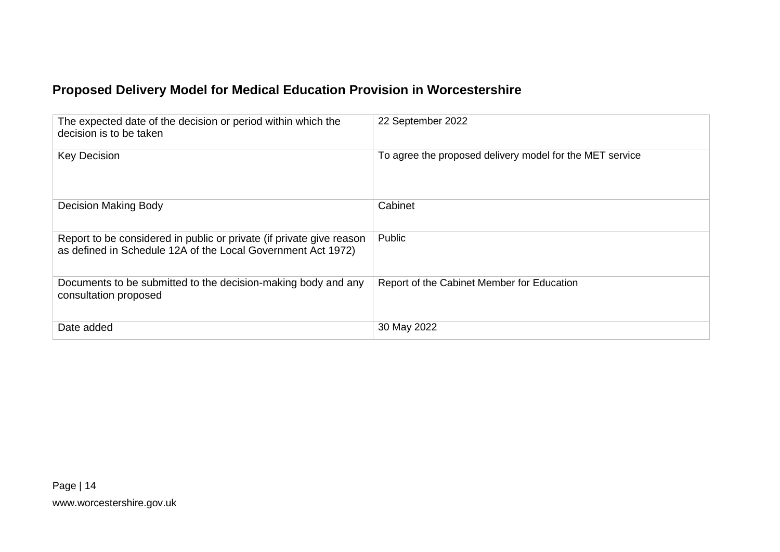### **Proposed Delivery Model for Medical Education Provision in Worcestershire**

<span id="page-13-0"></span>

| The expected date of the decision or period within which the<br>decision is to be taken                                              | 22 September 2022                                        |
|--------------------------------------------------------------------------------------------------------------------------------------|----------------------------------------------------------|
| <b>Key Decision</b>                                                                                                                  | To agree the proposed delivery model for the MET service |
| Decision Making Body                                                                                                                 | Cabinet                                                  |
| Report to be considered in public or private (if private give reason<br>as defined in Schedule 12A of the Local Government Act 1972) | Public                                                   |
| Documents to be submitted to the decision-making body and any<br>consultation proposed                                               | Report of the Cabinet Member for Education               |
| Date added                                                                                                                           | 30 May 2022                                              |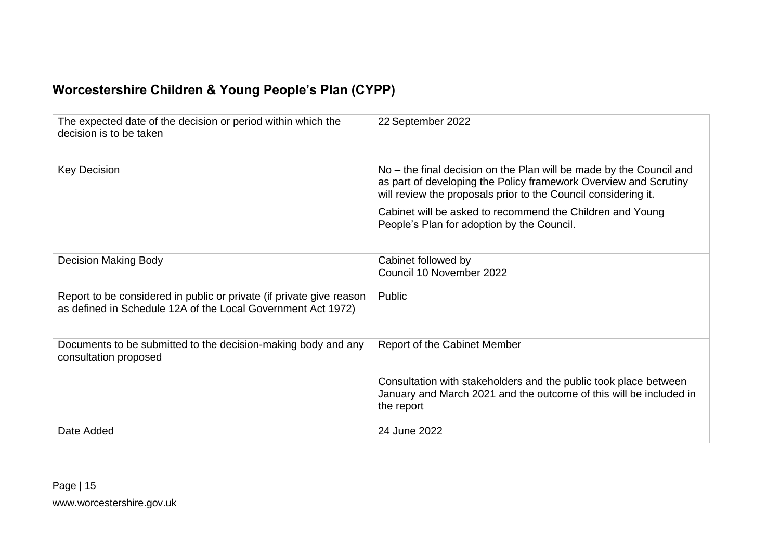### **Worcestershire Children & Young People's Plan (CYPP)**

<span id="page-14-0"></span>

| The expected date of the decision or period within which the<br>decision is to be taken                                              | 22 September 2022                                                                                                                                                                                         |
|--------------------------------------------------------------------------------------------------------------------------------------|-----------------------------------------------------------------------------------------------------------------------------------------------------------------------------------------------------------|
| <b>Key Decision</b>                                                                                                                  | No – the final decision on the Plan will be made by the Council and<br>as part of developing the Policy framework Overview and Scrutiny<br>will review the proposals prior to the Council considering it. |
|                                                                                                                                      | Cabinet will be asked to recommend the Children and Young<br>People's Plan for adoption by the Council.                                                                                                   |
| <b>Decision Making Body</b>                                                                                                          | Cabinet followed by<br>Council 10 November 2022                                                                                                                                                           |
| Report to be considered in public or private (if private give reason<br>as defined in Schedule 12A of the Local Government Act 1972) | Public                                                                                                                                                                                                    |
| Documents to be submitted to the decision-making body and any<br>consultation proposed                                               | <b>Report of the Cabinet Member</b>                                                                                                                                                                       |
|                                                                                                                                      | Consultation with stakeholders and the public took place between<br>January and March 2021 and the outcome of this will be included in<br>the report                                                      |
| Date Added                                                                                                                           | 24 June 2022                                                                                                                                                                                              |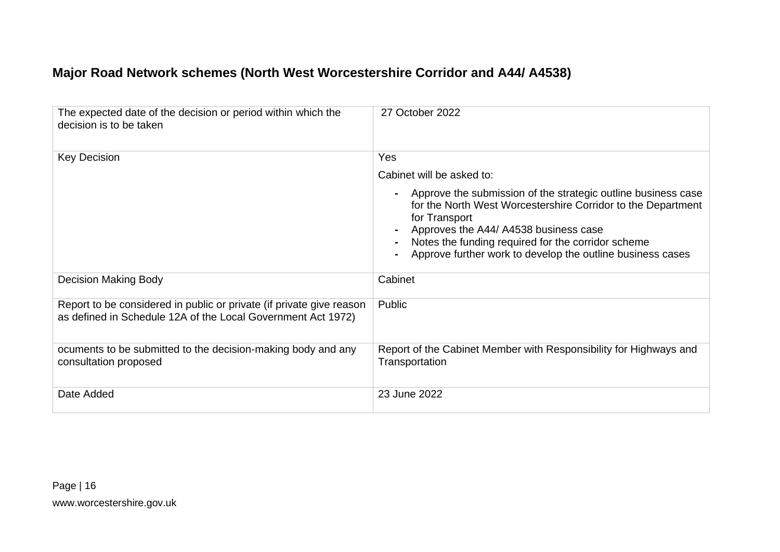#### **Major Road Network schemes (North West Worcestershire Corridor and A44/ A4538)**

<span id="page-15-0"></span>

| The expected date of the decision or period within which the<br>decision is to be taken                                              | 27 October 2022                                                                                                                                                                                                                                                                                             |
|--------------------------------------------------------------------------------------------------------------------------------------|-------------------------------------------------------------------------------------------------------------------------------------------------------------------------------------------------------------------------------------------------------------------------------------------------------------|
| <b>Key Decision</b>                                                                                                                  | Yes                                                                                                                                                                                                                                                                                                         |
|                                                                                                                                      | Cabinet will be asked to:                                                                                                                                                                                                                                                                                   |
|                                                                                                                                      | Approve the submission of the strategic outline business case<br>for the North West Worcestershire Corridor to the Department<br>for Transport<br>Approves the A44/ A4538 business case<br>Notes the funding required for the corridor scheme<br>Approve further work to develop the outline business cases |
| <b>Decision Making Body</b>                                                                                                          | Cabinet                                                                                                                                                                                                                                                                                                     |
| Report to be considered in public or private (if private give reason<br>as defined in Schedule 12A of the Local Government Act 1972) | Public                                                                                                                                                                                                                                                                                                      |
| ocuments to be submitted to the decision-making body and any<br>consultation proposed                                                | Report of the Cabinet Member with Responsibility for Highways and<br>Transportation                                                                                                                                                                                                                         |
| Date Added                                                                                                                           | 23 June 2022                                                                                                                                                                                                                                                                                                |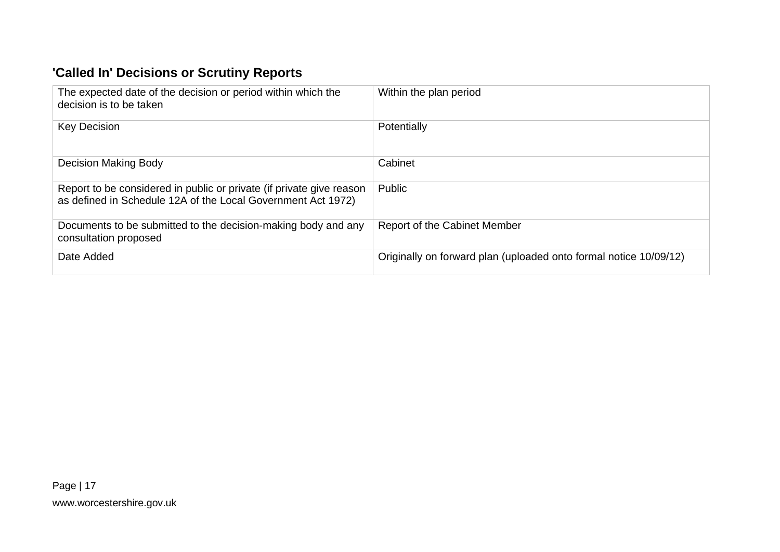## **'Called In' Decisions or Scrutiny Reports**

<span id="page-16-0"></span>

| The expected date of the decision or period within which the<br>decision is to be taken                                              | Within the plan period                                            |
|--------------------------------------------------------------------------------------------------------------------------------------|-------------------------------------------------------------------|
| <b>Key Decision</b>                                                                                                                  | Potentially                                                       |
| Decision Making Body                                                                                                                 | Cabinet                                                           |
| Report to be considered in public or private (if private give reason<br>as defined in Schedule 12A of the Local Government Act 1972) | Public                                                            |
| Documents to be submitted to the decision-making body and any<br>consultation proposed                                               | <b>Report of the Cabinet Member</b>                               |
| Date Added                                                                                                                           | Originally on forward plan (uploaded onto formal notice 10/09/12) |